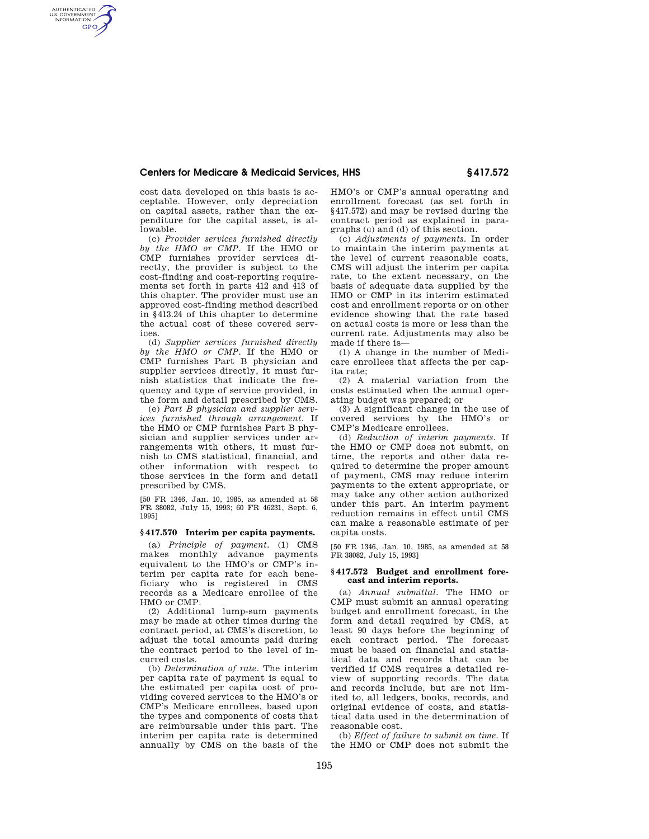# **Centers for Medicare & Medicaid Services, HHS § 417.572**

cost data developed on this basis is acceptable. However, only depreciation on capital assets, rather than the expenditure for the capital asset, is allowable.

AUTHENTICATED<br>U.S. GOVERNMENT<br>INFORMATION **GPO** 

> (c) *Provider services furnished directly by the HMO or CMP.* If the HMO or CMP furnishes provider services directly, the provider is subject to the cost-finding and cost-reporting requirements set forth in parts 412 and 413 of this chapter. The provider must use an approved cost-finding method described in §413.24 of this chapter to determine the actual cost of these covered services.

> (d) *Supplier services furnished directly by the HMO or CMP.* If the HMO or CMP furnishes Part B physician and supplier services directly, it must furnish statistics that indicate the frequency and type of service provided, in the form and detail prescribed by CMS.

> (e) *Part B physician and supplier services furnished through arrangement.* If the HMO or CMP furnishes Part B physician and supplier services under arrangements with others, it must furnish to CMS statistical, financial, and other information with respect to those services in the form and detail prescribed by CMS.

> [50 FR 1346, Jan. 10, 1985, as amended at 58 FR 38082, July 15, 1993; 60 FR 46231, Sept. 6, 1995]

#### **§ 417.570 Interim per capita payments.**

(a) *Principle of payment.* (1) CMS makes monthly advance payments equivalent to the HMO's or CMP's interim per capita rate for each beneficiary who is registered in CMS records as a Medicare enrollee of the HMO or CMP.

(2) Additional lump-sum payments may be made at other times during the contract period, at CMS's discretion, to adjust the total amounts paid during the contract period to the level of incurred costs.

(b) *Determination of rate.* The interim per capita rate of payment is equal to the estimated per capita cost of providing covered services to the HMO's or CMP's Medicare enrollees, based upon the types and components of costs that are reimbursable under this part. The interim per capita rate is determined annually by CMS on the basis of the HMO's or CMP's annual operating and enrollment forecast (as set forth in §417.572) and may be revised during the contract period as explained in paragraphs (c) and (d) of this section.

(c) *Adjustments of payments.* In order to maintain the interim payments at the level of current reasonable costs, CMS will adjust the interim per capita rate, to the extent necessary, on the basis of adequate data supplied by the HMO or CMP in its interim estimated cost and enrollment reports or on other evidence showing that the rate based on actual costs is more or less than the current rate. Adjustments may also be made if there is—

(1) A change in the number of Medicare enrollees that affects the per capita rate;

(2) A material variation from the costs estimated when the annual operating budget was prepared; or

(3) A significant change in the use of covered services by the HMO's or CMP's Medicare enrollees.

(d) *Reduction of interim payments.* If the HMO or CMP does not submit, on time, the reports and other data required to determine the proper amount of payment, CMS may reduce interim payments to the extent appropriate, or may take any other action authorized under this part. An interim payment reduction remains in effect until CMS can make a reasonable estimate of per capita costs.

[50 FR 1346, Jan. 10, 1985, as amended at 58 FR 38082, July 15, 1993]

### **§ 417.572 Budget and enrollment forecast and interim reports.**

(a) *Annual submittal.* The HMO or CMP must submit an annual operating budget and enrollment forecast, in the form and detail required by CMS, at least 90 days before the beginning of each contract period. The forecast must be based on financial and statistical data and records that can be verified if CMS requires a detailed review of supporting records. The data and records include, but are not limited to, all ledgers, books, records, and original evidence of costs, and statistical data used in the determination of reasonable cost.

(b) *Effect of failure to submit on time.* If the HMO or CMP does not submit the